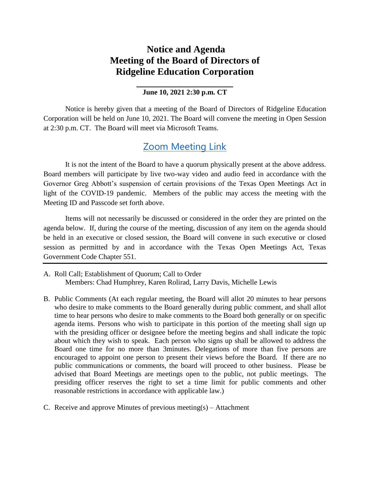## **Notice and Agenda Meeting of the Board of Directors of Ridgeline Education Corporation**

## **\_\_\_\_\_\_\_\_\_\_\_\_\_\_\_\_\_\_\_\_ June 10, 2021 2:30 p.m. CT**

Notice is hereby given that a meeting of the Board of Directors of Ridgeline Education Corporation will be held on June 10, 2021. The Board will convene the meeting in Open Session at 2:30 p.m. CT. The Board will meet via Microsoft Teams.

## [Zoom Meeting Link](https://zoom.us/j/93837893715?pwd=RGJieWlFMHE5YU84T3IzQVo4QlhjZz09)

It is not the intent of the Board to have a quorum physically present at the above address. Board members will participate by live two-way video and audio feed in accordance with the Governor Greg Abbott's suspension of certain provisions of the Texas Open Meetings Act in light of the COVID-19 pandemic. Members of the public may access the meeting with the Meeting ID and Passcode set forth above.

Items will not necessarily be discussed or considered in the order they are printed on the agenda below. If, during the course of the meeting, discussion of any item on the agenda should be held in an executive or closed session, the Board will convene in such executive or closed session as permitted by and in accordance with the Texas Open Meetings Act, Texas Government Code Chapter 551.

- A. Roll Call; Establishment of Quorum; Call to Order Members: Chad Humphrey, Karen Rolirad, Larry Davis, Michelle Lewis
- B. Public Comments (At each regular meeting, the Board will allot 20 minutes to hear persons who desire to make comments to the Board generally during public comment, and shall allot time to hear persons who desire to make comments to the Board both generally or on specific agenda items. Persons who wish to participate in this portion of the meeting shall sign up with the presiding officer or designee before the meeting begins and shall indicate the topic about which they wish to speak. Each person who signs up shall be allowed to address the Board one time for no more than 3minutes. Delegations of more than five persons are encouraged to appoint one person to present their views before the Board. If there are no public communications or comments, the board will proceed to other business. Please be advised that Board Meetings are meetings open to the public, not public meetings. The presiding officer reserves the right to set a time limit for public comments and other reasonable restrictions in accordance with applicable law.)
- C. Receive and approve Minutes of previous meeting(s) Attachment